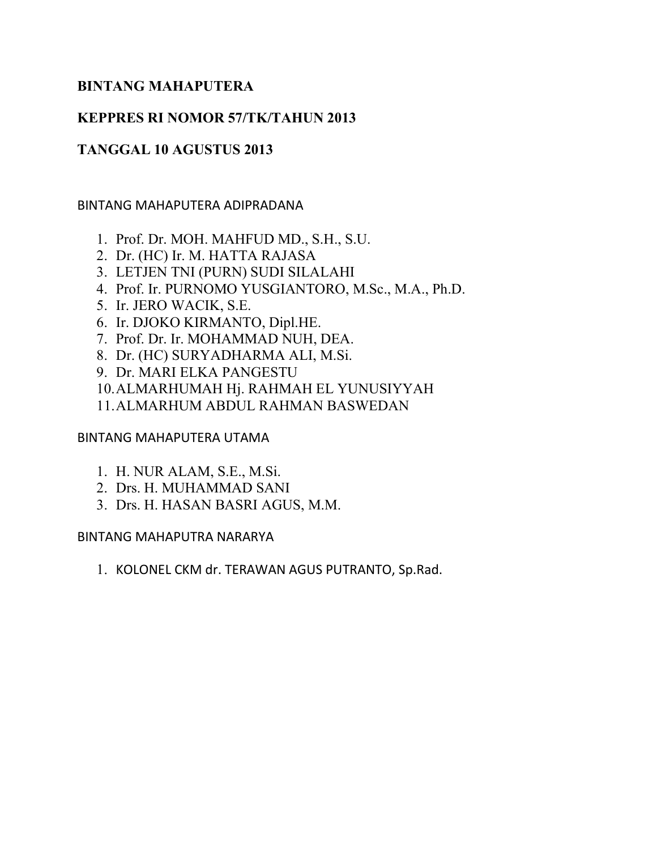# BINTANG MAHAPUTERA

# KEPPRES RI NOMOR 57/TK/TAHUN 2013

# TANGGAL 10 AGUSTUS 2013

#### BINTANG MAHAPUTERA ADIPRADANA

- 1. Prof. Dr. MOH. MAHFUD MD., S.H., S.U.
- 2. Dr. (HC) Ir. M. HATTA RAJASA
- 3. LETJEN TNI (PURN) SUDI SILALAHI
- 4. Prof. Ir. PURNOMO YUSGIANTORO, M.Sc., M.A., Ph.D.
- 5. Ir. JERO WACIK, S.E.
- 6. Ir. DJOKO KIRMANTO, Dipl.HE.
- 7. Prof. Dr. Ir. MOHAMMAD NUH, DEA.
- 8. Dr. (HC) SURYADHARMA ALI, M.Si.
- 9. Dr. MARI ELKA PANGESTU
- 10.ALMARHUMAH Hj. RAHMAH EL YUNUSIYYAH
- 11.ALMARHUM ABDUL RAHMAN BASWEDAN

## BINTANG MAHAPUTERA UTAMA

- 1. H. NUR ALAM, S.E., M.Si.
- 2. Drs. H. MUHAMMAD SANI
- 3. Drs. H. HASAN BASRI AGUS, M.M.

#### BINTANG MAHAPUTRA NARARYA

1. KOLONEL CKM dr. TERAWAN AGUS PUTRANTO, Sp.Rad.